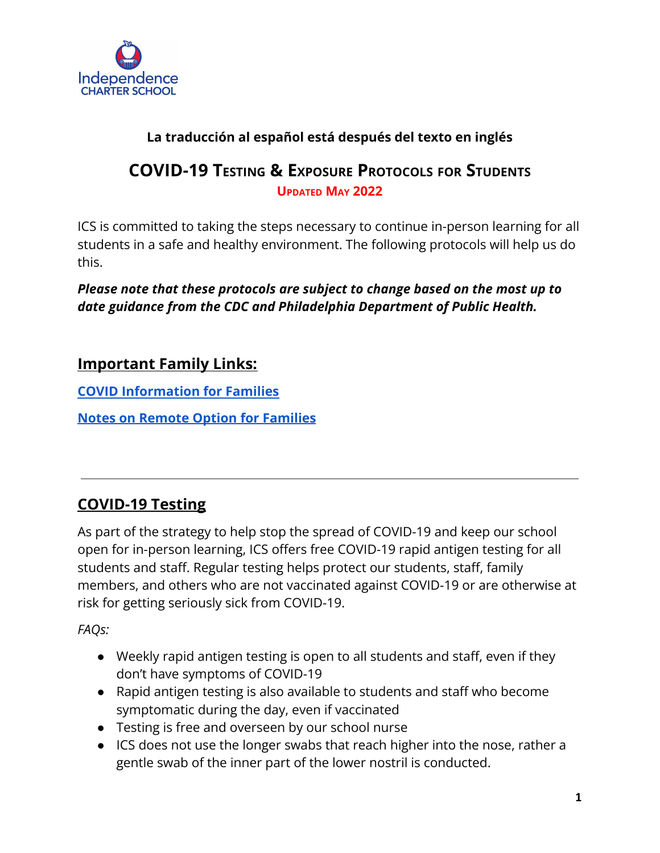

## **La traducción al español está después del texto en inglés**

## **COVID-19 TESTING & EXPOSURE PROTOCOLS FOR STUDENTS UPDATED MAY 2022**

ICS is committed to taking the steps necessary to continue in-person learning for all students in a safe and healthy environment. The following protocols will help us do this.

*Please note that these protocols are subject to change based on the most up to date guidance from the CDC and Philadelphia Department of Public Health.*

## **Important Family Links:**

**[COVID Information for Families](https://docs.google.com/document/d/16edqUOaSs8NBz4Ho4GgpTGYcc3QtjSms40ETqxN8_Ko/edit#)**

**[Notes on Remote Option for Families](https://docs.google.com/document/d/15-x1wvTSHhjAkzJLYRTFhKS2vcGNs8UI3Nwjr0NpNcU/edit)**

# **COVID-19 Testing**

As part of the strategy to help stop the spread of COVID-19 and keep our school open for in-person learning, ICS offers free COVID-19 rapid antigen testing for all students and staff. Regular testing helps protect our students, staff, family members, and others who are not vaccinated against COVID-19 or are otherwise at risk for getting seriously sick from COVID-19.

*FAQs:*

- Weekly rapid antigen testing is open to all students and staff, even if they don't have symptoms of COVID-19
- Rapid antigen testing is also available to students and staff who become symptomatic during the day, even if vaccinated
- Testing is free and overseen by our school nurse
- ICS does not use the longer swabs that reach higher into the nose, rather a gentle swab of the inner part of the lower nostril is conducted.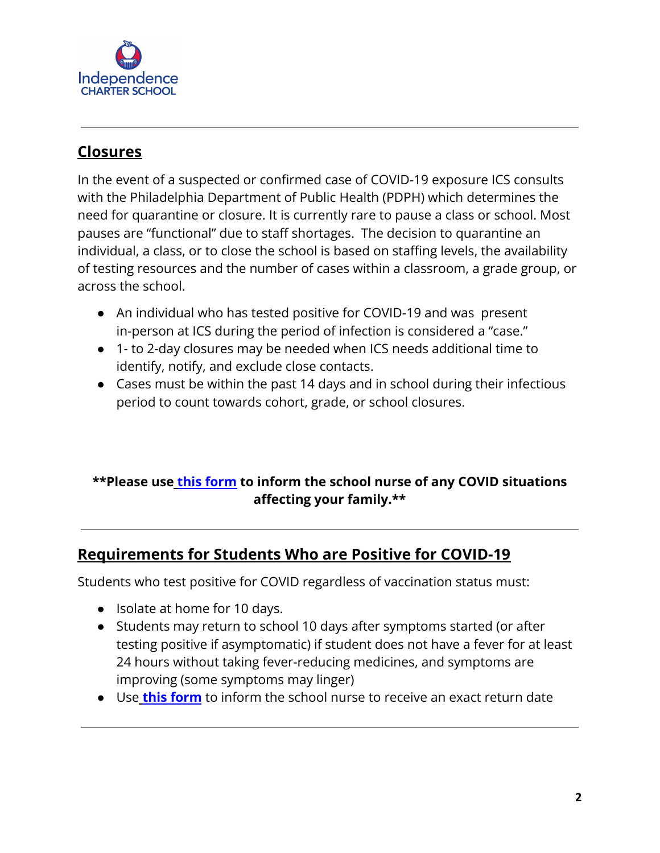

# **Closures**

In the event of a suspected or confirmed case of COVID-19 exposure ICS consults with the Philadelphia Department of Public Health (PDPH) which determines the need for quarantine or closure. It is currently rare to pause a class or school. Most pauses are "functional" due to staff shortages. The decision to quarantine an individual, a class, or to close the school is based on staffing levels, the availability of testing resources and the number of cases within a classroom, a grade group, or across the school.

- An individual who has tested positive for COVID-19 and was present in-person at ICS during the period of infection is considered a "case."
- 1- to 2-day closures may be needed when ICS needs additional time to identify, notify, and exclude close contacts.
- Cases must be within the past 14 days and in school during their infectious period to count towards cohort, grade, or school closures.

## **\*\*Please use [this form](https://docs.google.com/forms/d/e/1FAIpQLSfBOBlE8bnal52pDz-913GZgsT1IVXyu34C8_RwsClF_phBpA/viewform) to inform the school nurse of any COVID situations affecting your family.\*\***

## **Requirements for Students Who are Positive for COVID-19**

Students who test positive for COVID regardless of vaccination status must:

- Isolate at home for 10 days.
- Students may return to school 10 days after symptoms started (or after testing positive if asymptomatic) if student does not have a fever for at least 24 hours without taking fever-reducing medicines, and symptoms are improving (some symptoms may linger)
- Use **[this form](https://docs.google.com/forms/d/e/1FAIpQLSfBOBlE8bnal52pDz-913GZgsT1IVXyu34C8_RwsClF_phBpA/viewform)** to inform the school nurse to receive an exact return date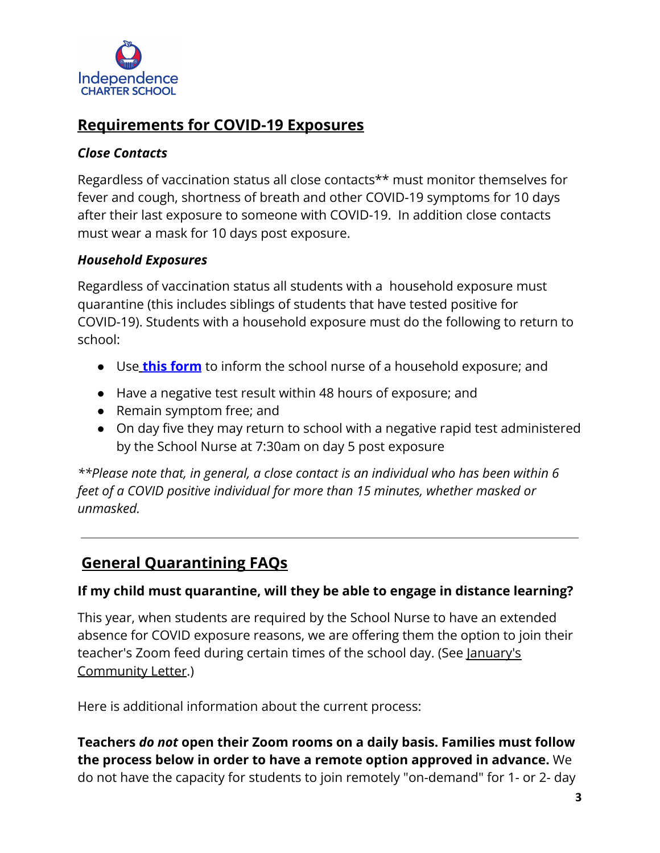

## **Requirements for COVID-19 Exposures**

### *Close Contacts*

Regardless of vaccination status all close contacts\*\* must monitor themselves for fever and cough, shortness of breath and other COVID-19 symptoms for 10 days after their last exposure to someone with COVID-19. In addition close contacts must wear a mask for 10 days post exposure.

### *Household Exposures*

Regardless of vaccination status all students with a household exposure must quarantine (this includes siblings of students that have tested positive for COVID-19). Students with a household exposure must do the following to return to school:

- Use **[this form](https://docs.google.com/forms/d/e/1FAIpQLSfBOBlE8bnal52pDz-913GZgsT1IVXyu34C8_RwsClF_phBpA/viewform)** to inform the school nurse of a household exposure; and
- Have a negative test result within 48 hours of exposure; and
- Remain symptom free; and
- On day five they may return to school with a negative rapid test administered by the School Nurse at 7:30am on day 5 post exposure

*\*\*Please note that, in general, a close contact is an individual who has been within 6 feet of a COVID positive individual for more than 15 minutes, whether masked or unmasked.*

# **General Quarantining FAQs**

### **If my child must quarantine, will they be able to engage in distance learning?**

This year, when students are required by the School Nurse to have an extended absence for COVID exposure reasons, we are offering them the option to join their teacher's Zoom feed during certain times of the school day. (See [January's](https://independencecharter.org/wp-content/uploads/2022/01/Community-Letter.Winter-Break.pdf) [Community Letter](https://independencecharter.org/wp-content/uploads/2022/01/Community-Letter.Winter-Break.pdf).)

Here is additional information about the current process:

**Teachers** *do not* **open their Zoom rooms on a daily basis. Families must follow the process below in order to have a remote option approved in advance.** We do not have the capacity for students to join remotely "on-demand" for 1- or 2- day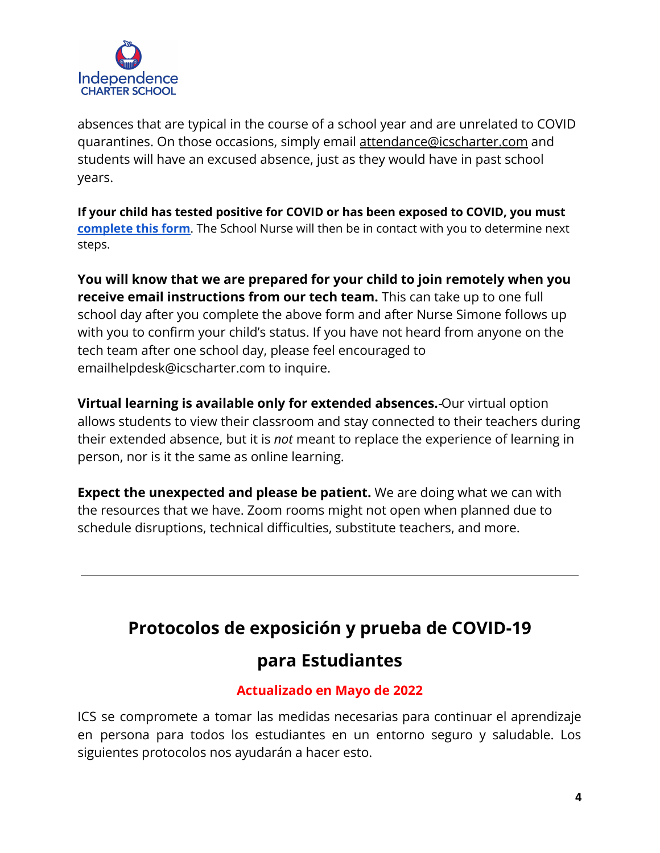

absences that are typical in the course of a school year and are unrelated to COVID quarantines. On those occasions, simply email [attendance@icscharter.com](mailto:attendance@icscharter.com) and students will have an excused absence, just as they would have in past school years.

**If your child has tested positive for COVID or has been exposed to COVID, you must [complete](https://docs.google.com/forms/d/e/1FAIpQLSfBOBlE8bnal52pDz-913GZgsT1IVXyu34C8_RwsClF_phBpA/viewform) this form**. The School Nurse will then be in contact with you to determine next steps.

**You will know that we are prepared for your child to join remotely when you receive email instructions from our tech team.** This can take up to one full school day after you complete the above form and after Nurse Simone follows up with you to confirm your child's status. If you have not heard from anyone on the tech team after one school day, please feel encouraged to emailhelpdesk@icscharter.com to inquire.

**Virtual learning is available only for extended absences.** Our virtual option allows students to view their classroom and stay connected to their teachers during their extended absence, but it is *not* meant to replace the experience of learning in person, nor is it the same as online learning.

**Expect the unexpected and please be patient.** We are doing what we can with the resources that we have. Zoom rooms might not open when planned due to schedule disruptions, technical difficulties, substitute teachers, and more.

# **Protocolos de exposición y prueba de COVID-19**

# **para Estudiantes**

## **Actualizado en Mayo de 2022**

ICS se compromete a tomar las medidas necesarias para continuar el aprendizaje en persona para todos los estudiantes en un entorno seguro y saludable. Los siguientes protocolos nos ayudarán a hacer esto.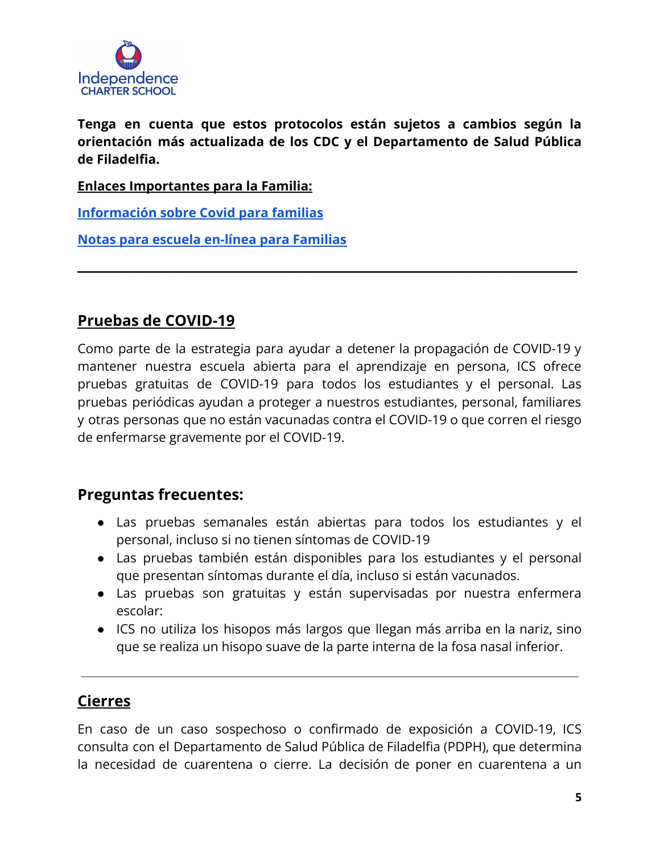

**Tenga en cuenta que estos protocolos están sujetos a cambios según la orientación más actualizada de los CDC y el Departamento de Salud Pública de Filadelfia.**

**\_\_\_\_\_\_\_\_\_\_\_\_\_\_\_\_\_\_\_\_\_\_\_\_\_\_\_\_\_\_\_\_\_\_\_\_\_\_\_\_\_\_\_\_\_\_\_\_\_\_\_\_\_\_\_\_\_\_\_\_\_\_\_\_\_\_\_\_\_\_\_\_\_\_\_\_\_\_\_\_\_\_\_\_\_\_\_\_\_\_\_\_\_\_**

**Enlaces Importantes para la Familia:**

**[Información sobre Covid para familias](https://docs.google.com/document/d/16edqUOaSs8NBz4Ho4GgpTGYcc3QtjSms40ETqxN8_Ko/edit#)**

**[Notas para escuela en-línea para Familias](https://docs.google.com/document/d/15-x1wvTSHhjAkzJLYRTFhKS2vcGNs8UI3Nwjr0NpNcU/edit)**

## **Pruebas de COVID-19**

Como parte de la estrategia para ayudar a detener la propagación de COVID-19 y mantener nuestra escuela abierta para el aprendizaje en persona, ICS ofrece pruebas gratuitas de COVID-19 para todos los estudiantes y el personal. Las pruebas periódicas ayudan a proteger a nuestros estudiantes, personal, familiares y otras personas que no están vacunadas contra el COVID-19 o que corren el riesgo de enfermarse gravemente por el COVID-19.

### **Preguntas frecuentes:**

- Las pruebas semanales están abiertas para todos los estudiantes y el personal, incluso si no tienen síntomas de COVID-19
- Las pruebas también están disponibles para los estudiantes y el personal que presentan síntomas durante el día, incluso si están vacunados.
- Las pruebas son gratuitas y están supervisadas por nuestra enfermera escolar:
- ICS no utiliza los hisopos más largos que llegan más arriba en la nariz, sino que se realiza un hisopo suave de la parte interna de la fosa nasal inferior.

### **Cierres**

En caso de un caso sospechoso o confirmado de exposición a COVID-19, ICS consulta con el Departamento de Salud Pública de Filadelfia (PDPH), que determina la necesidad de cuarentena o cierre. La decisión de poner en cuarentena a un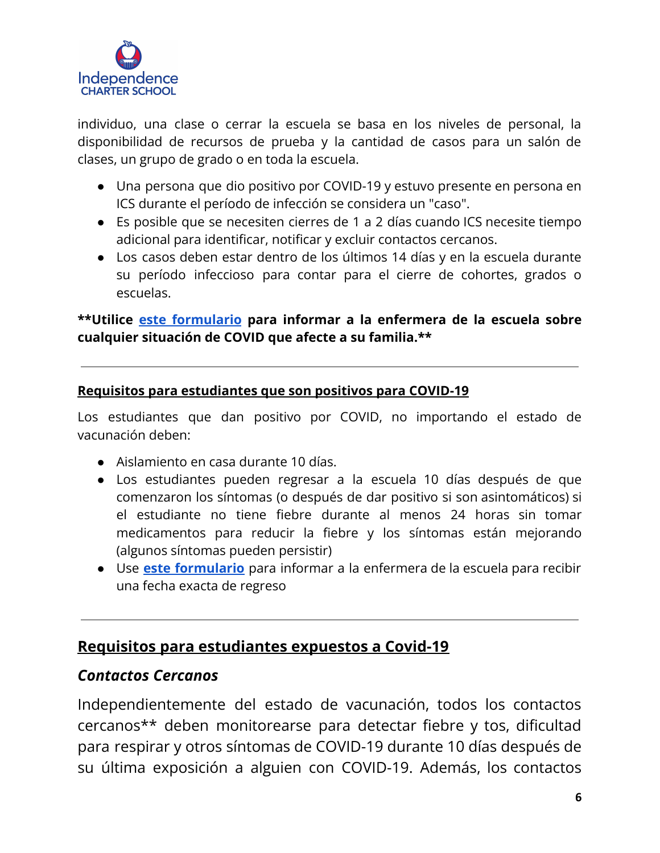

individuo, una clase o cerrar la escuela se basa en los niveles de personal, la disponibilidad de recursos de prueba y la cantidad de casos para un salón de clases, un grupo de grado o en toda la escuela.

- Una persona que dio positivo por COVID-19 y estuvo presente en persona en ICS durante el período de infección se considera un "caso".
- Es posible que se necesiten cierres de 1 a 2 días cuando ICS necesite tiempo adicional para identificar, notificar y excluir contactos cercanos.
- Los casos deben estar dentro de los últimos 14 días y en la escuela durante su período infeccioso para contar para el cierre de cohortes, grados o escuelas.

### **\*\*Utilice este [formulario](https://docs.google.com/forms/d/e/1FAIpQLSfBOBlE8bnal52pDz-913GZgsT1IVXyu34C8_RwsClF_phBpA/viewform) para informar a la enfermera de la escuela sobre cualquier situación de COVID que afecte a su familia.\*\***

### **Requisitos para estudiantes que son positivos para COVID-19**

Los estudiantes que dan positivo por COVID, no importando el estado de vacunación deben:

- Aislamiento en casa durante 10 días.
- Los estudiantes pueden regresar a la escuela 10 días después de que comenzaron los síntomas (o después de dar positivo si son asintomáticos) si el estudiante no tiene fiebre durante al menos 24 horas sin tomar medicamentos para reducir la fiebre y los síntomas están mejorando (algunos síntomas pueden persistir)
- Use **este [formulario](https://docs.google.com/forms/d/e/1FAIpQLSfBOBlE8bnal52pDz-913GZgsT1IVXyu34C8_RwsClF_phBpA/viewform)** para informar a la enfermera de la escuela para recibir una fecha exacta de regreso

### **Requisitos para estudiantes expuestos a Covid-19**

### *Contactos Cercanos*

Independientemente del estado de vacunación, todos los contactos cercanos\*\* deben monitorearse para detectar fiebre y tos, dificultad para respirar y otros síntomas de COVID-19 durante 10 días después de su última exposición a alguien con COVID-19. Además, los contactos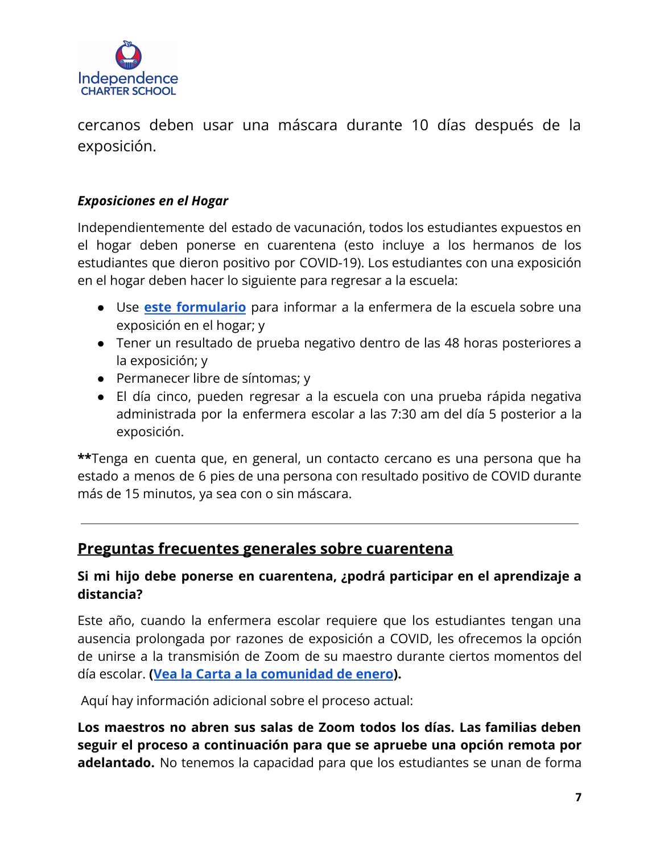

cercanos deben usar una máscara durante 10 días después de la exposición.

### *Exposiciones en el Hogar*

Independientemente del estado de vacunación, todos los estudiantes expuestos en el hogar deben ponerse en cuarentena (esto incluye a los hermanos de los estudiantes que dieron positivo por COVID-19). Los estudiantes con una exposición en el hogar deben hacer lo siguiente para regresar a la escuela:

- Use **este [formulario](https://docs.google.com/forms/d/e/1FAIpQLSfBOBlE8bnal52pDz-913GZgsT1IVXyu34C8_RwsClF_phBpA/viewform)** para informar a la enfermera de la escuela sobre una exposición en el hogar; y
- Tener un resultado de prueba negativo dentro de las 48 horas posteriores a la exposición; y
- Permanecer libre de síntomas; y
- El día cinco, pueden regresar a la escuela con una prueba rápida negativa administrada por la enfermera escolar a las 7:30 am del día 5 posterior a la exposición.

**\*\***Tenga en cuenta que, en general, un contacto cercano es una persona que ha estado a menos de 6 pies de una persona con resultado positivo de COVID durante más de 15 minutos, ya sea con o sin máscara.

### **Preguntas frecuentes generales sobre cuarentena**

### **Si mi hijo debe ponerse en cuarentena, ¿podrá participar en el aprendizaje a distancia?**

Este año, cuando la enfermera escolar requiere que los estudiantes tengan una ausencia prolongada por razones de exposición a COVID, les ofrecemos la opción de unirse a la transmisión de Zoom de su maestro durante ciertos momentos del día escolar. **([Vea la Carta a la comunidad de enero](https://independencecharter.org/wp-content/uploads/2022/01/Community-Letter.Winter-Break.pdf)).**

Aquí hay información adicional sobre el proceso actual:

**Los maestros no abren sus salas de Zoom todos los días. Las familias deben seguir el proceso a continuación para que se apruebe una opción remota por adelantado.** No tenemos la capacidad para que los estudiantes se unan de forma